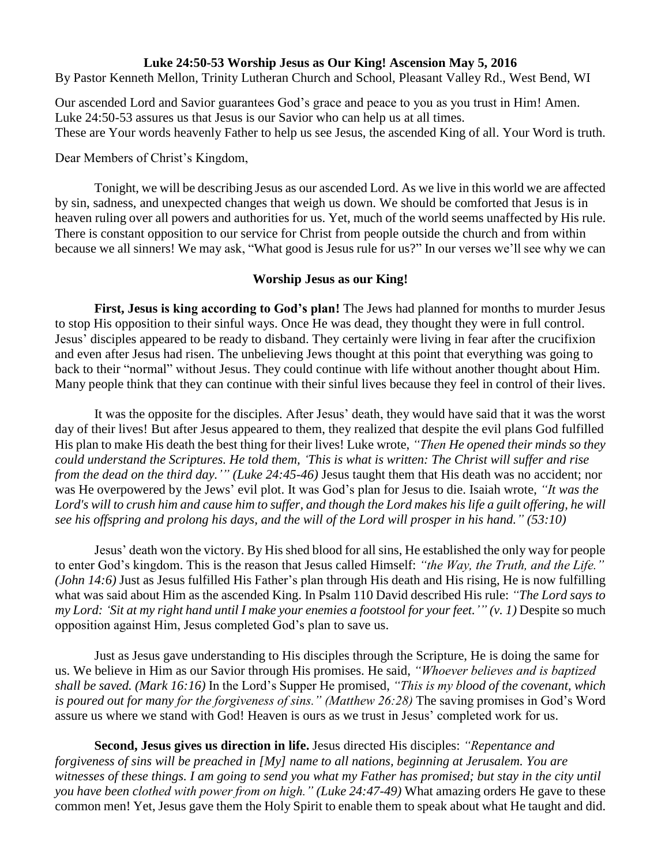## **Luke 24:50-53 Worship Jesus as Our King! Ascension May 5, 2016**

By Pastor Kenneth Mellon, Trinity Lutheran Church and School, Pleasant Valley Rd., West Bend, WI

Our ascended Lord and Savior guarantees God's grace and peace to you as you trust in Him! Amen. Luke 24:50-53 assures us that Jesus is our Savior who can help us at all times. These are Your words heavenly Father to help us see Jesus, the ascended King of all. Your Word is truth.

Dear Members of Christ's Kingdom,

Tonight, we will be describing Jesus as our ascended Lord. As we live in this world we are affected by sin, sadness, and unexpected changes that weigh us down. We should be comforted that Jesus is in heaven ruling over all powers and authorities for us. Yet, much of the world seems unaffected by His rule. There is constant opposition to our service for Christ from people outside the church and from within because we all sinners! We may ask, "What good is Jesus rule for us?" In our verses we'll see why we can

## **Worship Jesus as our King!**

**First, Jesus is king according to God's plan!** The Jews had planned for months to murder Jesus to stop His opposition to their sinful ways. Once He was dead, they thought they were in full control. Jesus' disciples appeared to be ready to disband. They certainly were living in fear after the crucifixion and even after Jesus had risen. The unbelieving Jews thought at this point that everything was going to back to their "normal" without Jesus. They could continue with life without another thought about Him. Many people think that they can continue with their sinful lives because they feel in control of their lives.

It was the opposite for the disciples. After Jesus' death, they would have said that it was the worst day of their lives! But after Jesus appeared to them, they realized that despite the evil plans God fulfilled His plan to make His death the best thing for their lives! Luke wrote, *"Then He opened their minds so they could understand the Scriptures. He told them, 'This is what is written: The Christ will suffer and rise from the dead on the third day.'" (Luke 24:45-46)* Jesus taught them that His death was no accident; nor was He overpowered by the Jews' evil plot. It was God's plan for Jesus to die. Isaiah wrote, *"It was the Lord's will to crush him and cause him to suffer, and though the Lord makes his life a guilt offering, he will see his offspring and prolong his days, and the will of the Lord will prosper in his hand." (53:10)*

Jesus' death won the victory. By His shed blood for all sins, He established the only way for people to enter God's kingdom. This is the reason that Jesus called Himself: *"the Way, the Truth, and the Life." (John 14:6)* Just as Jesus fulfilled His Father's plan through His death and His rising, He is now fulfilling what was said about Him as the ascended King. In Psalm 110 David described His rule: *"The Lord says to my Lord: 'Sit at my right hand until I make your enemies a footstool for your feet.'" (v. 1)* Despite so much opposition against Him, Jesus completed God's plan to save us.

Just as Jesus gave understanding to His disciples through the Scripture, He is doing the same for us. We believe in Him as our Savior through His promises. He said, *"Whoever believes and is baptized shall be saved. (Mark 16:16)* In the Lord's Supper He promised, *"This is my blood of the covenant, which is poured out for many for the forgiveness of sins." (Matthew 26:28)* The saving promises in God's Word assure us where we stand with God! Heaven is ours as we trust in Jesus' completed work for us.

**Second, Jesus gives us direction in life.** Jesus directed His disciples: *"Repentance and forgiveness of sins will be preached in [My] name to all nations, beginning at Jerusalem. You are witnesses of these things. I am going to send you what my Father has promised; but stay in the city until you have been clothed with power from on high." (Luke 24:47-49)* What amazing orders He gave to these common men! Yet, Jesus gave them the Holy Spirit to enable them to speak about what He taught and did.